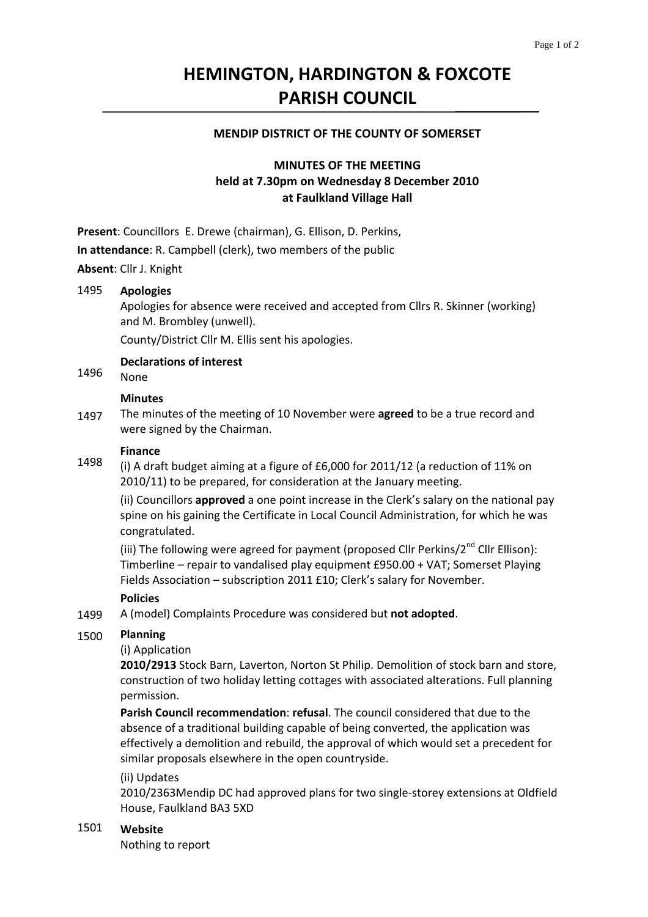# **HEMINGTON, HARDINGTON & FOXCOTE PARISH COUNCIL**

# **MENDIP DISTRICT OF THE COUNTY OF SOMERSET**

# **MINUTES OF THE MEETING held at 7.30pm on Wednesday 8 December 2010 at Faulkland Village Hall**

**Present**: Councillors E. Drewe (chairman), G. Ellison, D. Perkins,

**In attendance**: R. Campbell (clerk), two members of the public

**Absent**: Cllr J. Knight

#### 1495 **Apologies**

Apologies for absence were received and accepted from Cllrs R. Skinner (working) and M. Brombley (unwell).

County/District Cllr M. Ellis sent his apologies.

**Declarations of interest**

1496 None

### **Minutes**

1497 The minutes of the meeting of 10 November were **agreed** to be a true record and were signed by the Chairman.

# **Finance**

1498 (i) A draft budget aiming at a figure of £6,000 for 2011/12 (a reduction of 11% on 2010/11) to be prepared, for consideration at the January meeting.

(ii) Councillors **approved** a one point increase in the Clerk's salary on the national pay spine on his gaining the Certificate in Local Council Administration, for which he was congratulated.

(iii) The following were agreed for payment (proposed Cllr Perkins/ $2^{nd}$  Cllr Ellison): Timberline – repair to vandalised play equipment £950.00 + VAT; Somerset Playing Fields Association – subscription 2011 £10; Clerk's salary for November.

### **Policies**

1499 A (model) Complaints Procedure was considered but **not adopted**.

#### 1500 **Planning**

### (i) Application

**2010/2913** Stock Barn, Laverton, Norton St Philip. Demolition of stock barn and store, construction of two holiday letting cottages with associated alterations. Full planning permission.

**Parish Council recommendation**: **refusal**. The council considered that due to the absence of a traditional building capable of being converted, the application was effectively a demolition and rebuild, the approval of which would set a precedent for similar proposals elsewhere in the open countryside.

(ii) Updates

2010/2363Mendip DC had approved plans for two single‐storey extensions at Oldfield House, Faulkland BA3 5XD

### 1501 **Website**

Nothing to report